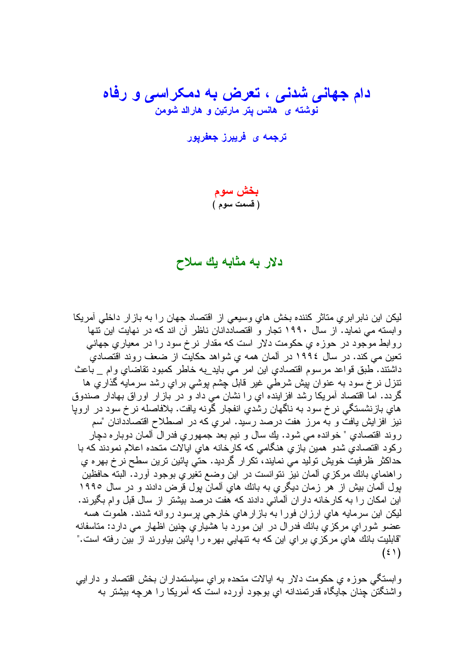# دام جهان*ی* شدنی ، تعرض به دمکراسی و رفاه نوشته ی هانس یتر مارتین و هارالد شومن

ترج*مه ی* فریبرز جعفریور

بخش سوم (قسمت سوم)

#### دلار به مثابه یك سلاح

لیکن این نابر ابر ی متاثر کننده بخش های وسیعی از اقتصاد جهان را به باز ار داخلی آمریکا و ابسته می نماید. از سال ۱۹۹۰ تجار و اقتصاددانان ناظر آن اند که در نهایت این نتها روابط موجود در حوزه ی حکومت دلار است که مقدار نرخ سود را در معیاری جهانی تعین می کند. در سال ۱۹۹۶ در آلمان همه ی شواهد حکایت از ضعف روند اقتصادی داشتند. طبق فواعد مرسوم اقتصادي اين امر مي بايد\_به خاطر كمبود تقاضاي وام \_ باعث نتزل نرخ سود به عنوان بیش شرطی غیر قابل چشم بوشی برایِ رشد سرمایه گذاریِ ها گردد. امّا اقتصاد أمريكا رشد افزاينده اي را نشان مي داد و در بازار اوراق بهادار صندوق هاي بازنشستگي نر خ سود به ناگهان رشدي انفجار گونه يافت. بلافاصله نر خ سود در اروپا نیز افزایش یافت و به مرز هفت درصد رسید. امری که در اصطلاح اقتصاددانان "سم روند اقتصادی " خوانده می شود. بِك سال و نیم بعد جمهوری فدرال ألمان دوباره دچار ركود اقتصادي شدو همين بازي هنگامي كه كارخانه هاي ايالات متحده اعلام نمودند كه با حداکثر ظرفیت خویش تولید می نمایند، تکرار گردید. حتی پائین ترین سطح نر خ بهره ي ر اهنماي بانك مركزي ألمان نيز نتوانست در اين وضع تغيري بوجود أورد. البته حافظين پول آلمان بیش از هر زمان دیگریِ به بانك هایِ آلمان پول قرض دادند و در سال ۱۹۹۰ این امکان را به کارخانه داران آلمانی دادند که هفت درصد بیشتر از سال قبل وام بگیرند. ليکن اين سرمايه هاي ارزان فورا به بازارهاي خارجي پرسود روانه شدند. هلموت هسه عضو شور ای مرکز ی بانك فدر ال در این مورد با هشیار ی جنین اظهار می دارد: مناسفانه "قابليت بانك هاي مركزي براي اين كه به نتهايي بهره را پائين بياورند از بين رفته است."  $(5)$ 

وابستگی حوزه ی حکومت دلار به ایالات متحده برای سیاستمداران بخش اقتصاد و دارایی واشنگتن جنان جایگاه قدرتمندانه ای بوجود آورده است که آمریکا را هرچه بیشتر به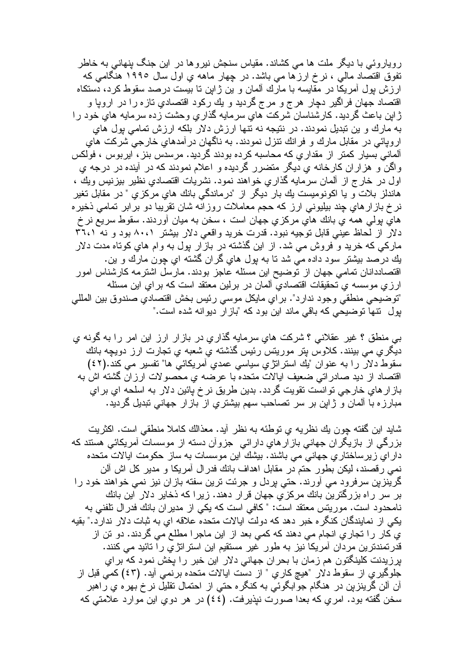رویاروئی با دیگر ملت ها می کشاند. مقیاس سنجش نیروها در این جنگ بنهانی به خاطر تفوق اقتصاد مالی ، نرخ ارزها می باشد. در چهار ماهه یِ اول سال ۱۹۹۰ هنگامی که ارزش بول امریکا در مقایسه با مارك المان و بن ژابن نا بیست درصد سقوط کرد، دستکاه اقتصاد جهان فراگير دچار هرج و مرج گرديد و يك ركود اقتصادي تازه را در اروپا و ژاپن باعث گردید. کارشناسان شرکت هایِ سرمایه گذاریِ وحشت زده سرمایه هایِ خود را به مارك و ين تبديل نمودند. در نتيجه نه نتها ارزش دلار بلكه ارزش تمامي بول هاي اروپائی در مقابل مارك و فرانك نتزل نمودند. به ناگهان در آمدهایِ خارجی شركت های آلمانی بسیار کمتر از مقداریِ که محاسبه کرده بودند گردید. مرسدس بنز ، اپربوس ، فولکس واگن و هزاران کارخانه ی دیگر متضرر گردیده و اعلام نمودند که در آینده در درجه ی اول در خارج از آلمان سرمايه گذاري خواهند نمود. نشريات اقتصادي نظير بيزنيس ويك ، هاندلز بلات و يا اكونوميست يك بار ديگر از "درماندگي بانك هاي مركزي " در مقابل تغير نرخ بازارهاي چند بیلیونی ارز که حجم معاملات روزآنه شان نقریبا دو برابر تمامی ذخیره هاي پولمي همه ي بانك هاي مركزي جهان است ، سخن به ميان آوردند. سقوط سريع نر خ دلار از لَحاظ عيني قابل توجيه نبود. قدرت خريد واقعي دلار بيشتر ٨٠،١ بود و نه ٣٦،١ مارکی که خرید و فروش می شد. از این گذشته در بازار بول به وام های کوتاه مدت دلار بِك درصد ببِشتر سود داده می شد تا به بول های گران گشته ای چون مارك و بن. اقتصاددانان تمامی جهان از توضیح این مسئله عاجز بودند. مارسل اشترمه کارشناس امور ارزي موسسه ي تحقيقات اقتصاديّ آلمان در برلين معتقد است كه براي اين مسئله "توضيحي منطقي وجود ندارد". براي مايكل موسى رئيس بخش اقتصادي صندوق بين المللي بول نتها نوضیحی که باقی ماند این بود که "باز ار دیوانه شده است."

شايد اين گفته چون يك نظريه ي نوطئه به نظر أيد. معذالك كاملا منطقي است. اكثريت بزرگی از بازیگران جهانی بازارهایِ دارائی ِ جزواْن دسته از موسسات آمریکائی هستند که داراي زيرساختاري جهاني مي باشند. بيشك اين موسسات به ساز حكومت ايالات متحده نمبی رقصند، لیکن بطور حتم در مقابل اهداف بانك فدرال امریکا و مدیر کل اش الن گرینزین سرفرود می آورند. حتی بردل و جرئت ترین سفته بازان نیز نمی خواهند خود را بر سر راه بزرگترین بانك مركزي جهان قرار دهند. زیرا كه ذخایر دلار آین بانك نامحدود است. موريتس معتقد است: "كافي است كه يكي از مدير ان بانك فدر ال نلفني به يكي از نمايندگان كنگره خبر دهد كه دولت ايالات متحده علاقه اي به ثبات دلار ندارد." بقيه ی کار را تجاریِ انجام می دهند که کمی بعد از این ماجرا مطلع می گردند. دو نن از قدرتمندترین مردان آمریکا نیز به طور غیر مستقیم این استراتژی را تائید می کنند. برريدنت كلينگتون هم زمان با بحران جهاني دلار اين خبر را پخش نمود كه براي جلوگيري از سقوط دلار "هيچ كاري " از دست ايالات متحده برنمي أيد. (٤٣) كمي قبل از آن آلن گرینزین در هنگام جوابگوئی به کنگر ه حتی از احتمال تقلیل نر خ بهر ه یِ راهبر سخن گفته بود. امري كه بعدا صورت نيذيرفت. (٤٤) در هر دوي اين موارد علامتي كه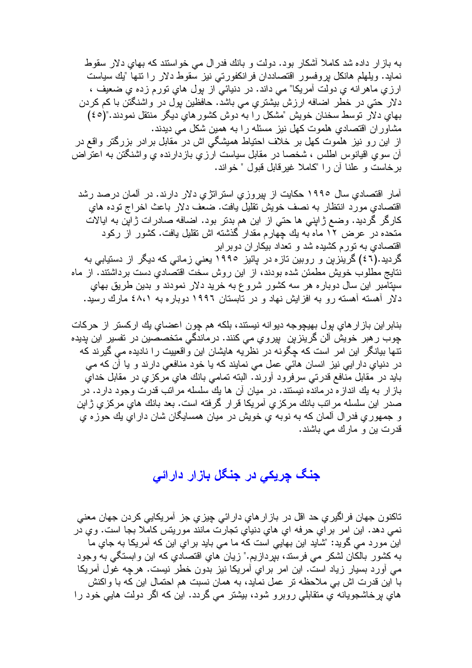به باز ار داده شد کاملا آشکار بود. دولت و بانك فدر ال مي خواستند که بهاي دلار سقوط نمايد. ويلهلم هانكل بروفسور اقتصاددان فرانكفورتي نيز سقوط دلار را نتها "يك سياست ارزي ماهرانه ي دولت أمريكا" مي داند. در دنيائي از پول هاي نورم زده ي ضعيف ، دلار حتی در خطر اضافه ارزش بیشتری می باشد. حافظین بول در واشنگتن با کم کردن بهاي دلار توسط سخنان خويش "مشكل را به دوش كشور هاي ديگر منتقل نمودند."(٤٥) مشاوران اقتصادی هلموت کهل نیز مسئله را به همین شکل می دیدند. از این رو نیز هلموت کهل بر خلاف احتیاط همیشگی اش در مقابل برادر بزرگتر واقع در أن سوى اقيانوس اطلس ، شخصـا در مقابل سياست ارزي بازدارنده ي واشنگتن بـه اعتراض برخاست و علنا أن را "كاملا غيرقابل قبول " خواند.

أمار اقتصادي سال ۱۹۹۰ حکايت از بپروزي استراتژي دلار دارند. در ألمان درصد رشد اقتصادی مورد انتظار به نصف خویش نقلیل یافت. ضعف دلار باعث اخراج نوده های كارگر گُرديد. وضع ژاپني ها حتي از اين هم بدتر بود. اضافه صادرات ژاپن به ايالات متحده در عرض ۱۲ ماه به بك جهارم مقدار گذشته اش نقلبل بافت. كشور از ركود اقتصادی به تور م کشیده شد و تعداد بیکار ان دوبر ابر گردید.(٤٦) گرینزین و روبین تازه در پائیز ١٩٩٥ یعنی زمانی که دیگر از دستیابی به نتايج مطلوب خويش مطمئن شده بودند، از اين روش سخت اقتصادي دست برداشتند. از ماه سیتامبر این سال دوبار ه هر سه کشور شروع به خرید دلار نمودند و بدین طریق بهای دلار آهسته آهسته رو به افزایش نهاد و در تابستان ۱۹۹۲ دوباره به ٤٨،١ مارك رسید.

بنابر اين باز ار هاي بول بهيچوجه ديوانه نيستند، بلكه هم چون اعضاي يك اركستر از حركات چوب ر هبر خویش آلن گرینزین پیروی می کنند. درماندگی متخصصین در تفسیر این پدیده نتها بیانگر این امر است که چگونه در نظریه هایشان این واقعییت را نادیده می گیرند که در دنیاي دار ایي نیز انسان هائي عمل مي نمایند که یا خود منافعي دارند و یا آن که مي بايد در مقابل منافع قدرتي سرفرود أورند. البته تمامي بانك هاي مركزي در مقابل خداي باز ار به یك انداز ه درمانده نیستند. در میان آن ها یك سلسله مرانب قدرت وجود دارد. در صدر این سلسله مراتب بانك مركزي أمريكا قرار گرفته است. بعد بانك هاي مركزي ژابن و جمهوري فدرال آلمان كه به نوبه ي خويش در ميان همسايگان شان داراي يك حوزه ي قدرت بن و مارك مي باشند.

# جنگ چریکی در جنگل باز ار دار ائی

تاكنون جهان فر اگير ي حد اقل در باز ار هاي دار ائي چيز ي جز ِ آمريكايي كردن جهان معنى نمي دهد. اين امر براي حرفه اي هاي دنياي تجارت مانند موريتس كاملا بجا است. وي در این مورد می گوید: "شاید این بھایی است که ما می باید بر ای این که آمریکا به جای ما به كشور بالكان لشكر مي فرستد، بيردازيم." زيان هاي اقتصادي كه اين وابستگي به وجود مبي أورد بسيار زياد است. اين امر بر اي أمريكا نيز بدون خطر نيست. هرچه غول أمريكا با این قدرت اش بی ملاحظه تر عمل نماید، به همان نسبت هم احتمال این که با واکنش های برخاشجویانه ی منقابلی روبرو شود، بیشتر می گردد. این که اگر دولت هایی خود را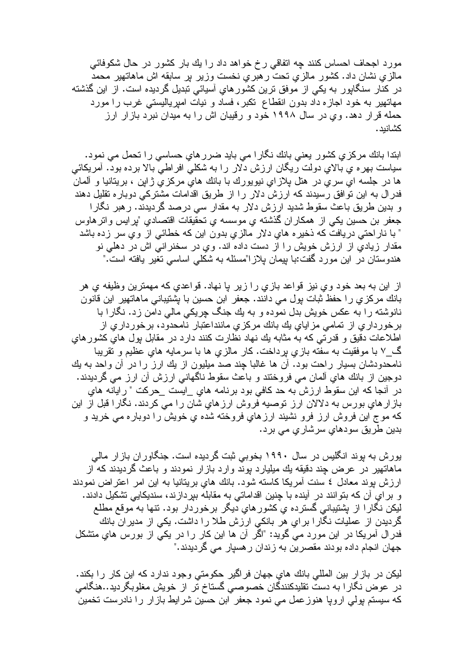مورد اجحاف احساس کنند چه انفاقی رخ خواهد داد را بك بار كشور در حال شكوفائی مالزیِ نشان داد. کشور مالزیِ نحت رهبریِ نخست وزیر بر سابقه اش ماهاتهیر محمد در کنار سنگاپور به یکی از موفق ترین کشورهایِ أسیائی تبدیل گردیده است. از این گذشته مهاتهیں به خود اجازه داد بدون انقطاع تکبر، فساد و نیات امیریالیستی غرب را مورد حمله قرار دهد. وي در سال ۱۹۹۸ خود و رقيبان اش را به ميدان نبرد بازار ارز كشانبد.

ابندا بانك مركزي كشور يعني بانك نگارا مي بايد ضرر هاي حساسي را تحمل مي نمود. سیاست بهره ی بالای دولت ریگان ارزش دلار را به شکلی افراطی بالا برده بود. آمریکائی ها در جلسه اي سري در هتل پلازاي نيويورك با بانك هاي مركزي ژاپن ، بريتانيا و ألمان فدرال به این توافق رسیدند که ارزش دلار را از طریق اقدامات مشترکی دوباره تقلیل دهند و بدین طریق باعث سقوط شدید ارزش دلار به مقدار سی درصد گردیدند. رهبر نگارا جعفر بن حسین یکی از همکاران گذشته ی موسسه ی نحقیقات اقتصادی "پرایس واتر هاوس " با ناراحتی دریافت که ذخیر ه های دلار مالزی بدون این که خطائی از وی سر زده باشد مقدار زیادی از ارزش خویش را از دست داده اند. وی در سخنرانی اش در دهلی نو هندوستان در اين مورد گفت:با بپيمان پلازا"مسئله به شكلي اساسي تغير يافته است."

از اين به بعد خود وي نيز قواعد بازي را زير پا نهاد. قواعدي كه مهمترين وظيفه ي هر بانك مركزي را حفظ ثبات بول مي دانند. جعفر ابن حسين با يشتيباني ماهاتهير اين قانون نانوشته را به عکس خویش بدل نموده و به یك جنگ چریكی مالی دامن زد. نگارا با برخورداري از تمامي مزاياي يك بانك مركزي ماننداعتبار نامحدود، برخورداري از اطلاعات دقيق و قدرتي كه به مثابه يك نهاد نظارت كنند دارد در مقابل بول هاي كشور هاي گ\_۷ با موفقيت به سفته بازي برداخت. كار مالزي ها با سرمايه هاي عظيم و نقريبا نامحدودشان بسیار راحت بود. أن ها غالبا چند صد میلیون از یك ارز را در أن واحد به یك دوجين از بانك هاي ألمان مي فروختند و باعث سقوط ناگهاني ارزش أن ارز مي گرديدند. در أنجا كه اين سقوط ارزش به حد كافي بود برنامه هاي \_ايست \_حركت " رايانه هاي باز ارهاي بورس به دلالان ارز توصيه فروش ارزهاي شان را مي كردند. نگارا قبل از اين که موج این فروش ارز فرو نشیند ارزهای فروخته شده ی خویش را دوباره می خرید و بدين طريق سودهاي سرشاري مي برد.

بور ش به بوند انگلیس در سال ۱۹۹۰ بخوبی ثبت گر دیده است. جنگاور ان باز ار مالی ماهاتهیر در عرض چند دقیقه یك میلیارد بوند وارد بازار نمودند و باعث گردیدند كه از ارزش بوند معادل ٤ سنت أمريكا كاسته شود. بانك هاي بريتانيا به اين امر اعتراض نمودند و براي آن كه بتوانند در آينده با چنين اقداماتي به مقابله ببردازند، سنديكايي نشكيل دادند. لیکن نگارا از بشتیبانی گسترده ی کشورهای دیگر برخوردار بود. نتها به موقع مطلع گردیدن از عملیات نگارا برایِ هر بانکیِ ارزش طلا را داشت. یکیِ از مدیران بانك فدرال آمریکا در این مورد می گوید: "اگر آن ها این کار را در یکی از بورس های متشکل جهان انجام داده بودند مقصرین به زندان رهسیار می گردیدند."

لیکن در باز ار بین المللی بانك های جهان فراگیر حكومتی وجود ندارد كه این كار را بكند. در عوض نگارا به دست نقلیدکنندگان خصوصبی گستاخ تر از خویش مغلوبگردید..هنگامی که سیستم بولی اروپا هنوزعمل می نمود جعفر ابن حسین شرایط بازار را نادرست تخمین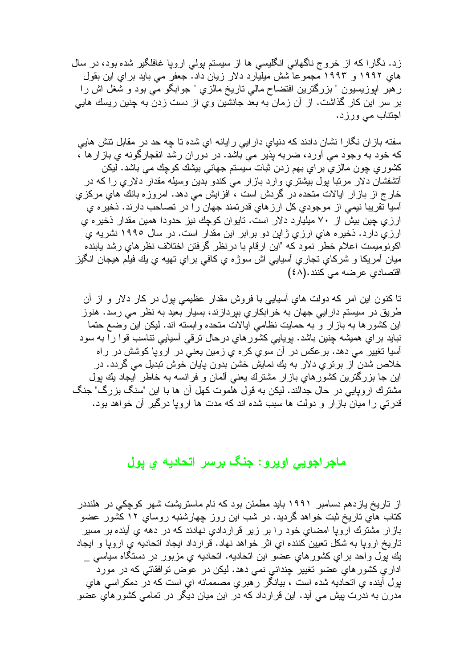زد. نگارا که از خروج ناگهانی انگلیسی ها از سیستم بولی اروپا غافلگیر شده بود، در سال هایِ ۱۹۹۲ و ۱۹۹۳ مجموعا شش میلیارد دلار زیان داد. جعفر می باید برایِ این بقول ر هبر ابوزیسیون " بزرگترین افتضاح مالی ناریخ مالزی " جوابگو می بود و شغل اش را بر سر اين كار گذاشت. از آن زمان به بعد جانشين وي از دست زدن به چنين ريسك هايي اجتناب مي ورزد.

سفته باز ان نگار ا نشان دادند که دنیای دار ایی رایانه ای شده تا چه حد در مقابل نتش هایی كه خود به وجود مي أورد، ضربه پذير مي باشد. در دوران رشد انفجارگونه ي بازارها ، کشوری چون مالزی برای بهم زدن ثبات سیستم جهانی بیشك كوچك می باشد. لیكن أنشفشان دلار مرتبا پول بيشتري وارد بازار مي كندو بدين وسيله مقدار دلاري راكه در خارج از بازار ایالات متحده در گردش است ، افزایش می دهد. امروزه بانك هایِ مركزیِ آسیا نقریبا نیمی از موجودی کل ارزهای قدرنمند جهان را در نصاحب دارند. ذخیره ی ارزی چین بیش از ۷۰ میلیارد دلار است. تایوان کوچك نیز حدودا همین مقدار ذخیره ی ارزی دارد. ذخیر ه های ارزی ژاین دو برابر این مقدار است. در سال ۱۹۹۰ نشریه ی اكونوميست اعلام خطر نمود كه "اين ارقام با درنظر گرفتن اختلاف نظرهاى رشد يابنده ميان أمريكا و شركاي نجاري أسيايي اش سوژه ي كافي براي نهيه ي يك فيلم هيجان انگيز اقتصاد*ي* عرضه مي كنند.(٤٨)

تا کنون این امر که دولت هایِ أسیایی با فروش مقدار عظیمی بول در کار دلار و از أن طریق در سیستم دار ایی جهان به خر ابکار ی بیردازند، بسیار بعید به نظر می رسد. هنوز این کشورها به بازار و به حمایت نظامی ایالات متحده وابسته اند. لیکن این وضع حتما نبايد براي هميشه چنين باشد. بويايي كشورهاي درحال نرقي آسيايي نناسب قوا را به سود آسیا تغییر می دهد. برعکس در آن سوی کره ی زمین یعنی در اروپا کوشش در راه خلاص شدن از برتر ی دلار به يك نمايش خشن بدون بايان خوش تبديل مي گردد. در این جا بزرگترین کشور های بازار مشترك یعنی ألمان و فرانسه به خاطر ایجاد یك بول مشترك اروپايي در حال جدالند. ليكن به قول هلموت كهل أن ها با اين "سنگ بزرگ" جنگ قدرتی را میان باز ار و دولت ها سبب شده اند که مدت ها اروپا درگیر آن خواهد بود.

### ماجراجویی اویرو : جنگ برسر اتحادیه ی یول

از تاریخ پازدهم دسامبر ۱۹۹۱ باید مطمئن بود که نام ماستریشت شهر کوچکی در هلنددر کتاب های تاریخ ثبت خواهد گردید. در شب این روز چهارشنبه روسای ۱۲ کشور عضو باز ار مشترك اروپا امضاى خود را بر زير قراردادى نهادند كه در دهه ى آينده بر مسير تاریخ اروپا به شکل نعیین کننده ای اثر خواهد نهاد. قرارداد ایجاد انحادیه ی اروپا و ایجاد يك پول واحد براي كشورهاي عضو اين اتحاديه. اتحاديه ي مزبور در دستگاه سياسي \_ اداري كشور هاي عضو تغيير چنداني نمي دهد. ليكن در عوض توافقاتي كه در مورد بول آينده ي اتحاديه شده است ، بيانگر رهبري مصممانه اي است كه در دمكراسي هاي مدرن به ندرت بپش مي آيد. اين قرارداد كه در اين ميان ديگر در نمامي كشور هاي عضو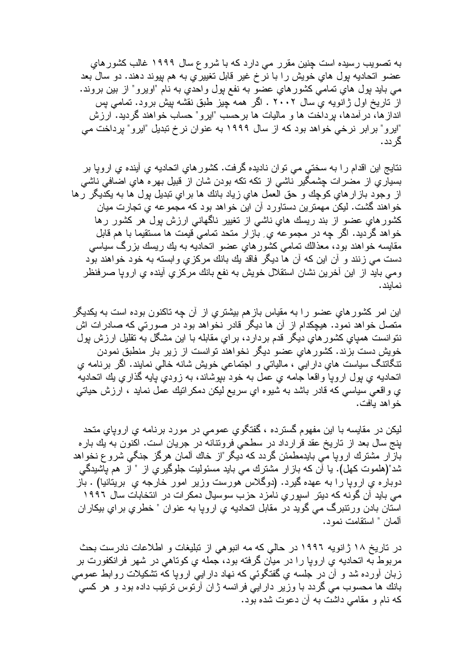به تصویب رسیده است چنین مقرر می دارد که با شروع سال ۱۹۹۹ غالب کشور های عضو اتحادیه بول هایِ خویش را با نرخ غیر قابل تغییریِ به هم بیوند دهند. دو سال بعد مي بايد پول هاي تمامي کشور هاي عضو به نفع پول واحدي به نام "اويرو" از بين بروند. از تاریخ اول ژانویه ی سال ۲۰۰۲ . اگر همه چیز طبق نقشه بیش برود. تمامی بس اندازها، در آمدها، برداخت ها و مالیات ها برحسب "ایرو" حساب خواهند گردید. ارزش "ایرو" بر ابر نرخی خواهد بود که از سال ۱۹۹۹ به عنوان نرخ تبدیل "ایرو" پرداخت می گر دد.

نتایج این اقدام را به سختی می توان نادیده گرفت. کشور های اتحادیه ی آینده ی اروپا بر بسیاریِ از مضرات چشمگیر ناشی از نکه نکه بودن شان از قبیل بهره هایِ اضافی ناشی از وجود بازارهاي كوچك و حق العمل هاي زياد بانك ها براي نبديل بول ها به يكديگر رها خواهند گشت. لیکن مهمترین دستاورد آن این خواهد بود که مجموعه ی تجارت میان کشورهای عضو از بند ریسك های ناشی از تغییر ناگهانی ارزش بول هر کشور رها خواهد گردید. اگر چه در مجموعه ی ِ بازار متحد تمامی قیمت ها مستقیما با هم قابل مقایسه خواهند بود، معذالك نمامی كشورهای عضو اتحادیه به بك ریسك بزرگ سیاسی دست مـي زنند و آن اين كـه آن ها ديگر فاقد يك بانك مركزي وابسته بـه خود خواهند بود ومبي بايد از اين أخرين نشان استقلال خويش به نفع بانك مركزي أينده ي اروپا صرفنظر نمابند.

این امر کشورهای عضو را به مقیاس بازهم بیشتری از آن چه تاکنون بوده است به یکدیگر منصل خواهد نمود. هیچکدام از آن ها دیگر قادر نخواهد بود در صورتی که صادرات اش نتوانست همیای کشورهای دیگر قدم بردارد، برای مقابله با این مشکل به نقلیل ارزش بول خویش دست بزند. کشور های عضو دیگر نخواهند توانست از زیر بار منطبق نمودن ننگاننگ سیاست هاي دارايي ، مالياتي و اجتماعي خويش شانه خالي نمايند. اگر برنامه ي اتحادیه ی بول اروپا واقعا جامه ی عمل به خود بیوشاند، به زودیِ بایه گذاریِ بِك اتحادیه ي واقعي سياسي كه قادر باشد به شيوه اي سريع ليكن دمكر انيك عمل نمايد ، ارزش حياتي خو اهد بافت.

لیکن در مقایسه با این مفهوم گسترده ، گفتگوی عمومی در مورد برنامه ی اروپای متحد بنج سال بعد از ناریخ عقد قرارداد در سطحی فروننانه در جریان است. اکنون به بك باره باز ار مشترك اروپا مي بايدمطمئن گردد كه ديگر "از خاك آلمان هرگز جنگي شروع نخواهد شد"(هلموت کهل). يا أن که باز ار مشترك مي بايد مسئوليت جلوگيري از " از هم پاشيدگي دوباره ی اروپا را به عهده گیرد. (دوگلاس هورست وزیر امور خارجه ی بریتانیا) . باز می باید آن گونه که دیتر اسپوری نامزد حزب سوسیال دمکرات در انتخابات سال ۱۹۹۲ اسْتان بادن ورنتبرگ مي گويد در مقابل انحاديه ي اروپا به عنوان " خطري براي بيکاران آلمان " استقامت نمود.

در تاریخ ۱۸ ژانویه ۱۹۹۲ در حالی که مه انبوهی از تبلیغات و اطلاعات نادرست بحث مربوط به اتحادیه ی اروپا را در میآن گرفته بود، جمله ی کوتاهی در شهر فرانکفورت بر زبان أورده شد و أن در جلسه ي گفتگوئي كه نهاد دارايي اروپا كه تشكيلات روابط عمومي بانك ها محسوب مي گردد با وزير دارايي فرانسه ژان آرتوس ترتيب داده بود و هر كسي كه نام و مقامى داشت به آن دعوت شده بود.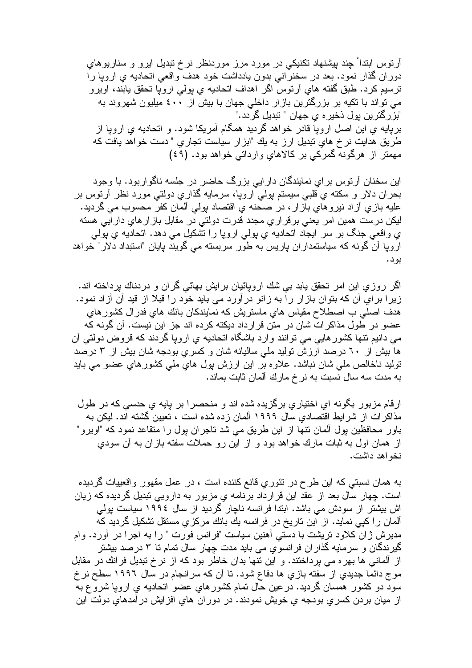أرتوس ابتداً جِند بیِشنهاد نکنیکی در مورد مرز موردنظر نرخ تبدیل ایرو و سناریوهای دوران گذار نمود. بعد در سخنرانی بدون پادداشت خود هدف واقعی اتحادیه ی اروپا را ترسيم كرد. طبق گفته هاي آرتوس اگر اهداف اتحاديه ي پولي اروپا تحقق يابند، اويرو می تواند با تکیه بر بزرگترین بازار داخلی جهان با بیش از ٤٠٠ میلیون شهروند به "بزرگترين بول ذخير ء ي جهان " تبديل گردد ." بریایه یِ این اصل اروپا قادر خواهد گردید همگام آمریکا شود. و انحادیه یِ اروپا از طریق هدایت نرخ های تبدیل ارز به یك "ابزار سیاست تجاری " دست خواهد یافت كه مهمتر از هرگونه گمرکی بر کالاهای وارداتی خواهد بود. (٤٩)

این سخنان آرنوس بر اي نمايندگان دار ايي بزرگ حاضر در جلسه ناگواربود. با وجود بحران دلار و سكنه ي قلبي سيسنم پولي اروپا، سرمايه گذاري دولتي مورد نظر أرنوس بر عليه بازي أز اد نيرو هاي باز ار ، در صحنه ي اقتصاد پولمي ألمان كفر محسوب مي گرديد. لیکن درست همین امر یعنی برقراری مجدد قدرت دولتی در مقابل باز ار های دار ایی هسته ي واقعي جنگ بر سر ايجاد انحاديه ي پولمي اروپا را تشكيل مي دهد. انحاديه ي پولمي اروپا آن گونه که سیاستمدار ان باریس به طور سربسته می گویند بایان "استبداد دلار" خواهد بو د.

اگر روزی این امر تحقق یابد بی شك اروپائیان برایش بهائی گران و دردناك برداخته اند. زیرا برای آن که بتوان بازار را به زانو درآورد می باید خود را قبلا از قید آن آزاد نمود. هدف اصلی ب اصطلاح مقیاس های ماستریش که نمایندکان بانك های فدرال كشور های عضو در طول مذاکرات شان در متن قرارداد دیکته کرده اند جز این نیست. آن گونه که مبی دانیم نتها کشور هایبی مبی نوانند وارد باشگاه انحادیه ی اروپا گردند که قروض دولتبی آن ها بیش از ۲۰ درصد ارزش تولید ملی سالیانه شان و کسری بودجه شان بیش از ۳ درصد تولید ناخالص ملّٰی شان نباشد. علاوہ بر این ارزش پول ہای ملّٰی کشورہای عضو می باید به مدت سه سال نسبت به نرخ مارك ألمان ثابت بماند.

ارقام مزبور بگونه ای اختیاری برگزیده شده اند و منحصر ا بر بایه ی حدسی که در طول مذاکر ات از شرایط اقتصادی سال ۱۹۹۹ آلمان زده شده است ، تعیین گشته اند. لیکن به باور محافظین بول آلمان نتها از این طریق می شد ناجران بول را متقاعد نمود که "اویرو" از همان اول به ثبات مارك خواهد بود و از اين رو حملات سفته بازان به آن سودي نخو اهد داشت.

به همان نسبتی که این طرح در نئوریِ قانع کننده است ، در عمل مقهور واقعییات گردیده است. چهار سال بعد از عقد این قرارداد برنامه یِ مزبور به دارویی نبدیل گردیده که زیان اش بیشتر از سودش می باشد. ابتدا فرانسه ناچار گردید از سال ۱۹۹٤ سیاست پولی آلمان را كيي نمايد. از اين تاريخ در فرانسه يك بانك مركزي مستقل تشكيل گرديد كه مدیرش ژان کلاود نریشت با دستی آهنین سیاست "فرانس فورت " را به اجرا در آورد. وام گیرندگان و سرمایه گذاران فرانسویِ می باید مدت چهار سال تمام تا ۳ درصد بیشتر از ألمانی ها بهره می پرداختند. و این نتها بدان خاطر بود که از نرخ تبدیل فرانك در مقابل موج دائما جدیدیِ از سفته بازیِ ها دفاع شود. تا آن که سرانجام در سال ۱۹۹۲ سطح نر خ سوَّد دو کشور همسان گردید. در عین حال نمام کشور های عضوَّ انحادیه ی اروپا شروَّع به از ميان بردن كسري بودجه ي خويش نمودند. در دوران هاي افزايش درآمدهاي دولت اين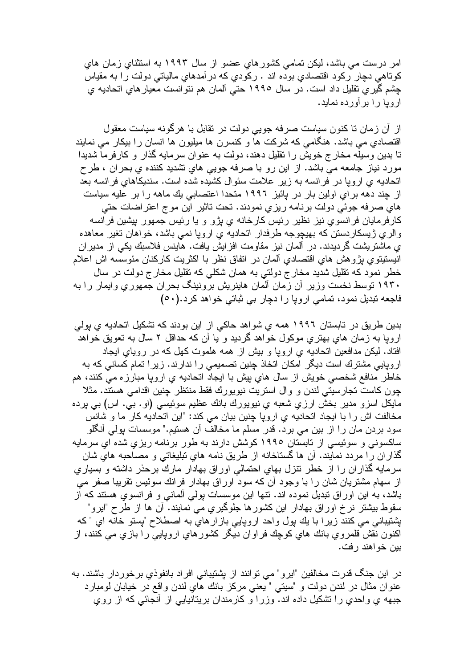امر درست می باشد، لیکن تمامی کشور های عضو از سال ۱۹۹۳ به استثنای زمان های کوناهی دچار رکود اقتصادی بوده اند . رکودی که در آمدهایِ مالیاتی دولت را به مقیاس چشم گير ي تقليل داد است. در سال ١٩٩٥ حتى آلمان هم نتوانست معيار هاي اتحاديه ي ار و یا ر ا بر اَو ر ده نماید.

از ِ آن زمان تا کنون سیاست صرفه جویی دولت در نقابل با هرگونه سیاست معقول اقتصادی می باشد. هنگامی که شرکت ها و کنسرن ها مبلبون ها انسان را ببکار می نمایند تا بدین وسیله مخارج خویش را نقلیل دهند، دولت به عنوان سرمایه گذار و کارفرما شدیدا مورد نیاز جامعه می باشد. از این رو با صرفه جویی های تشدید کننده ی بحران ، طرح اتحادیه ی اروپا در فرانسه به زیر علامت سئوال کشیده شده است. سندیکاهای فرانسه بعد از چند دهه برای اولین بار در بائیز ۱۹۹۲ متحدا اعتصابی یك ماهه را بر علیه سیاست های صرفه جوئی دولت برنامه ریزی نمودند. تحت تاثیر این موج اعتراضات حتی کارفرمایان فرانسوی نیز نظیر رئیس کارخانه ی بژو و یا رئیس جمهور بیشین فرانسه والری ژیسکاردستن که بهیچوجه طرفدار اتحادیه ی اروپا نمی باشد، خواهان تغیر معاهده ی ماشتر بشت گر دبدند. در آلمان نیز مقاو مت افز ایش بافت. هابنس فلاسبك بكی از مدیر ان انيستيتوي پژوهش هاي اقتصادي ألمان در اتفاق نظر با اكثريت كاركنان مئوسسه اش اعلام خطر نمود که نقلیل شدید مخارج دولتی به همان شکلی که تقلیل مخارج دولت در سال ۱۹۳۰ نوسط نخست وزیر آن زمان آلمان هاینریش برونینگ بحران جمهوری وایمار را به فاجعه تبديل نمود، تمامي اروپا را دچار بي ثباتي خواهد كرد.(٥٠)

بدین طریق در تابستان ۱۹۹۲ همه ي شواهد حاکي از اين بودند که تشکيل اتحاديه ي پولي اروپا به زمان های بهتری موکول خواهد گردید و یا آن که حداقل ۲ سال به تعویق خواهد افتاد. لیکن مدافعین اتحادیه ی ارویا و بیش از همه هلموت کهل که در رویای ایجاد اروپایی مشترك است دیگر امكان اتخاذ چنین تصمیمی را ندارند. زیرا تمام كسانی كه به خاطر منافع شخصي خويش از سال هاي پيش با ايجاد اتحاديه ي اروپا مبارزه مي كنند، هم چون كاست تجارسيتي لندن و وال استريت نيويورك فقط منتظر چنين اقدامي هستند. مثلا مايكل اسزو مدير بخش ارزي شعبه ي نيويورك بانك عظيم سوئيسي (او . بي. اس) بي پرده مخالفت اش را با ایجاد اتحادیه ی اروپا چنین بیان می کند: "این اتحادیه کار ما و شانس سود بردن مان را از بین می برد. قدر مسلم ما مخالف آن هستیم." موسسات بولی أنگلو ساکسونی و سوئیسی از تابستان ۱۹۹۰ کوشش دارند به طور برنامه ریزی شده ای سرمایه گذاران را مردد نمایند. آن ها گستاخانه از طریق نامه های تبلیغاتی و مصاحبه هایِ شان سرمايه گذاران را از خطر نتزل بهاي احتمالي اوراق بهادار مارك برحذر داشته و بسياري از سهام مشتريان شان را با وجود أن كه سود اوراق بهادار فرانك سوئيس تقريبا صفر مي باشد، به این اوراق نبدیل نموده اند. نتها این موسسات بولی آلمانی و فرانسوی هستند که از سقوط بیشتر ِ نرخ اور اق بھادار ِ این کشور ِها جلوگیر ِی مبی نمایند. آن ها از طرح "ایرو" بشتيباني مي كنند زيرا با يك بول واحد اروپايي بازار هاي به اصطلاح "پستو خانه اي " كه اکنون نقش قلمروي بانك هاي كوچك فراوان ديگر كشورهاي اروپايي را بازي مي كنند، از بين خو اهند ر فت.

در این جنگ قدرت مخالفین "ایرو" می توانند از پشتیبانی افراد بانفوذی برخوردار باشند. به عنوان مثال در لندن دولت و "سيتبي " يعني مركز بانك هاي لندن واقع در خيابان لومبارد جبهه ي واحدي را تشكيل داده اند. وزرا و كارمندان بريتانيايي از أنجائي كه از روي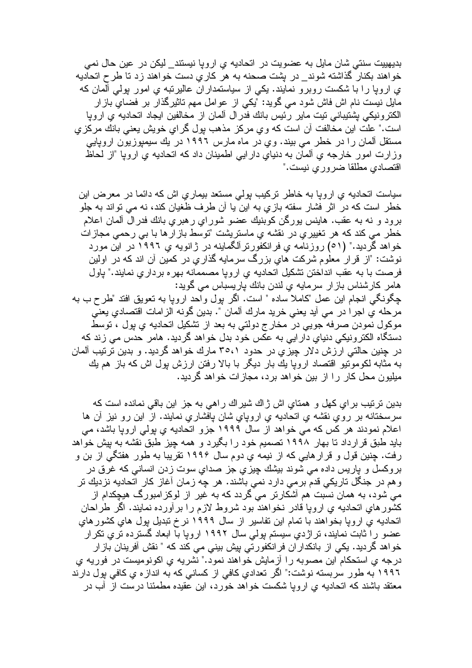بدیهییت سنتی شان مایل به عضویت در اتحادیه ی اروپا نیستند\_ لیکن در عین حال نمی خواهند بکنار گذاشته شوند\_ در بشت صحنه به هر کاریِ دست خواهند زد تا طرح اتحادیه ی اروپا را با شکست روبرو نمایند. یکی از سیاستمداران عالیرنبه ی امور بولی المان که مایل نیست نام اش فاش شود می گوید: "یکی از عوامل مهم تاثیرگذار بر فضای بازار الكترونيكي بشتيباني تيت ماير رئيس بانك فدرال ألمان از مخالفين ايجاد اتحاديه ي اروپا است." علت این مخالفت آن است که وی مرکز مذهب بول گرای خویش یعنی بانك مرکزی مستقل آلمان را در خطر می بیند. وی در ماه مارس ۱۹۹۲ در یك سیمپوزیون اروپایی وزارت امور خارجه ي ألمان به دنياي دارايي اطمينان داد كه اتحاديه ي ارويا "از لحاظ اقتصادي مطلقا ضروري نيست."

سیاست اتحادیه یِ اروپا به خاطر ترکیب بولی مستعد بیماریِ اش که دائما در معرض این خطر است که در اثر فشار سفته بازي به اين يا أن طرف ظغيان کند، نه مي تواند به جلو برود و نه به عقب. هاینس پورگن کوبنیك عضو شورای رهبری بانك فدرال ألمان اعلام خطر می کند که هر تغییریِ در نقشه یِ ماستریشت "توسط بازارها با بی رحمی مجازات خواهد گردید." (٥١) روزنامه ی فرانکفورنر آلگماینه در ژانویه ی ١٩٩٦ در این مورد نوشت: "از قرار معلوم شرکت های بزرگ سرمایه گذاری در کمین آن اند که در اولین فرصت با به عقب انداختن تشكيل اتحاديه ي ارويا مصممانه بهره برداري نمايند." باول هامر كارشناس بازار سرمايه ي لندن بانك باريسباس مي گويد: جِگونگي انجام اين عمل "كاملا ساده " است. اگر بول واحد اروپا به نعويق افتد "طرح ب به مرحله ي اجراً در مي أيد يعني خريد مارك ألمان ". بدين گونه الزامات اقتصادي يعني موكول نمودن صرفه جويبي درّ مخارج دولتي به بعد از نشكيل اتحاديه ي پول ، توسط دستگاه الکترونیکی دنیای دار ایی به عکس خود بدل خواهد گردید. هامر حدس می زند که در جنین حالتی ار زش دلار جیزی در حدود ۳۰،۱ مارك خواهد گردید. و بدین ترتیب آلمان به مثابه لكومونيو اقتصاد ارويا يك بار ديگر با بالا رفتن ارزش بول اش كه باز هم يك مبلبون محل کار را از بين خواهد بر د، مجاز ات خواهد گر دبد.

بدين ترتيب براي كهل و همتاي اش ژاك شيراك راهي به جز اين باقي نمانده است كه سرسختانه بر روي نقشه ي اتحاديه ي اروپاي شان پافشاري نمايند. از اين رو نيز ان ها اعلام نمودند هر كس كه مي خواهد از سال ١٩٩٩ جزو انحاديه ي پولي اروپا باشد، مي باید طبق قرارداد تا بهار ۱۹۹۸ تصمیم خود را بگیرد و همه چیز طبق نقشه به پیش خواهد رفت. چنین قول و قرار هایی که از نیمه یِ دوم سال ۱۹۹۶ تقریبا به طور هفتگی از بن و بروکسل و پاریس داده می شوند بیشك چیزی جز صدای سوت زدن انسانی كه غرق در و هم در جنگل تاریکی قدم بر می دارد نمی باشند. هر چه زمان أغاز کار اتحادیه نزدیك نر می شود، به همان نسبت هم آشکارنر می گردد که به غیر از لوکز امبورگ هیچکدام از کشور های اتحادیه ی اروپا قادر نخو اهند بود شروط لازم را بر آورده نمایند. اگر طراحان اتحادیه ی اروپا بخواهند با تمام این تفاسیر از سال ۱۹۹۹ نرخ تبدیل بول های کشورهای عضو را ثابت نمایند، تراژدیِ سیستم پولی سال ۱۹۹۲ اروپا با ابعاد گسترده تریِ تکرار خواهد گردید. یکی از بانکداران فرانکفورتی بیش بینی می کند که " نقش آفرینان بازار درجه ي استحكام َّاين مصوبه را آزمايش خواهند نمود." نَشريه ي اكونوميست در فوريه ي ۱۹۹۲ به طور سربسته نوشت:" اگر تعدادي كافي از كساني كه به اندازه ي كافي پول دارند معتقد باشند که اتحادیه ی اروپا شکست خواهد خورد، این عقیده مطمئنا درست از آب در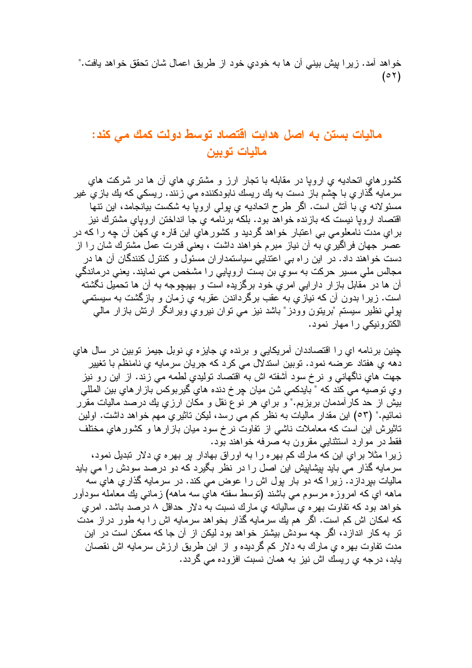خواهد أمد. زيرا بيش بيني أن ها به خودي خود از طريق اعمال شان تحقق خواهد يافت."  $(0 7)$ 

#### ماليات بستن به اصل هدايت اقتصاد توسط دولت كمك مي كند: ماليات تويين

کشورهایِ اتحادیه یِ ارویا در مقابله با تجار ارز و مشتریِ هایِ أن ها در شرکت های سرمايه گذاري با چشم باز دست به يك ريسك نابودكننده مي زنند. ريسكي كه يك بازي غير مسئو لانه ي با أنش است. اگر طرح انحاديه ي بولمي اروپا به شكست بيانجامد، اين ننها اقتصاد اروپا نیست که بازنده خواهد بود. بلکه برنامه یِ جا انداختن اروپایِ مشترك نیز براي مدت نامعلومي بي اعتبار خواهد گرديد و كشورهاي اين قاره ي كهن آن چه را كه در عصر جهان فراگیری به آن نیاز مبرم خواهند داشت ، یعنی قدرت عمل مشترك شان را از دست خواهند داد. در این راه بی اعتنایی سیاستمداران مسئول و کنترل کنندگان آن ها در مجالس ملی مسیر حرکت به سوی بن بست اروپایی را مشخص می نمایند. یعنی درماندگی آن ها در مُقابل باز ار دار ایی امری خود برگزیده است و بهیچوجه به آن ها تحمیل نگشته ً است. زیرا بدون آن که نیازیِ به عقب برگرداندن عقربه یِ زمان و بازگشت به سیستمی بولي نظير سيستم "برينون وودز" باشد نيز مي نوان نيروي ويرانگر ارنش بازار مالي الکترونیکی را مهار نمود.

چنين برنامه اي را اقتصاددان أمريكايي و برنده ي جايزه ي نوبل جيمز توبين در سال هاي دهه ي هفتاد عرضه نمود. توبين استدلال مي كرد كه جريان سرمايه ي نامنظم با تغيير جهت هایِ ناگهانی و نرخ سود أشفته اش به اقتصاد تولیدیِ لطمه می زند. از این رو نیز وي توصيه مي كند كه " بايدكمي شن ميان چر خ دنده هاي گيربوكس باز ار هاي بين المللي بیش از حد کارآمدمان بریزیم." و برای هر نوع نقل و مکان ارزی بك درصد مالیات مقرر نمائيم." (٥٣) اين مقدار ماليات به نظر كم مي رسد، ليكن ناثيري مهم خواهد داشت. اولين تاثیرش این است که معاملات ناشی از نفاوت نرخ سود میان باز ارها و کشورهای مختلف فقط در موارد استثنایی مقرون به صرفه خواهند بود.

زیرا مثلا برای این که مارك کم بهره را به اوراق بهادار بر بهره ی دلار تبدیل نمود، سرمایه گذار می باید بیشابیش این اصل را در نظر بگیرد که دو درصد سودش را می باید مالیات ببر داز د. زیر ا که دو بار بول اش ر ا عوض می کند. در سرمایه گذاری های سه ماهه اي كه امروزه مرسوم مي باشند (نوسط سفته هايّ سه ماهه) زمانـي بك معامله سودأور خواهد بود كه تفاوت بهر ه ي ساليانه ي مارك نسبت به دلار حداقل ٨ درصد باشد. امر ي که امکان اش کم است. اگر ً هم بك سرمایه گذار بخواهد سرمایه اش را به طور در از مدت تر به کار اندازد، اگر چه سودش بیشتر خواهد بود لیکن از آن جا که ممکن است در این مدت نفاوت بهره ي مارك به دلار كم گرديده و از اين طريق ارزش سرمايه اش نقصان بابد، در جه ی ر بسك اش نیز به همان نسبت افز و ده مے گر دد.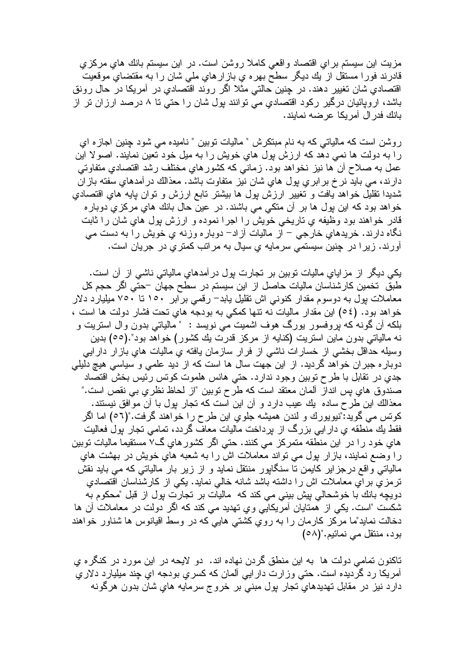مزیت این سیستم بر ای اقتصاد واقعی کاملا روشن است. در این سیستم بانك های مركزی قادرند فورا مستقل از بك ديگر سطح بهره ي بازارهاي ملي شان را به مقتضاي موقعيت اقتصادیِ شان نغییر دهند. در چنین حالتی مثلا اگر روند اقتصادیِ در آمریکا در حال رونق باشد، اروپائيان درگير رکود اقتصادي مي توانند پول شان را حتي تا ۸ درصد ارزان تر از بانك فدر ال أمريكا عرضه نمايند.

روشن است که مالیاتی که به نام مبتکرش " مالیات نوبین " نامیده می شود چنین اجاز ه ای را به دولت ها نمی دهد که ارزش بول های خویش را به میل خود نعین نمایند. اصولا این عمل به صلاح أن ها نيز نخواهد بود. زماني كه كشورهاي مختلف رشد اقتصادي متفاوتي دارند، مي بايد نر خ بر ابر ي پول هاي شان نيز متفاوت باشد. معذالك در آمدهاي سفته باز ان شديدا نقليل خواهد يافت و نغيير ارزش پول ها بيشتر نابع ارزش و نوان پايه هاي اقتصادي خواهد بود كه اين پول ها بر أن منكي مي باشند. در عين حال بانك هاي مركزي دوباره قادر خواهند بود وظیفه ی تاریخی خویش را اجرا نموده و ارزش بول های شان را ثابت نگاه دارند. خریدهایِ خارجی – از مالیات آزاد– دوباره وزنه یِ خویش را به دست می آورند. زیرا در چنین سیستمی سرمایه ی سیال به مراتب کمتری در جریان است.

یکی دیگر از مزایای مالیات نوبین بر نجارت بول درآمدهای مالیاتی ناشی از آن است. طبق تخمین کارشناسان مالیات حاصل از این سیستم در سطح جهان –حتی اگر حجم کل معاملات بول به دوسوم مقدار کنونبی اش تقلیل پابد– رقمی بر ابر ۱۰۰ تا ۷۰۰ میلیارد دلار خواهد بود. (٥٤) این مقدار مالیات نه نتها کمکی به بودجه های نحت فشار دولت ها است ، بلکه آن گونه که بروفسور بورگ هوف اشمیت می نویسد : " مالیاتی بدون وال استریت و نه مالیاتی بدون ماین استریت (کنایه از مرکز قدرت یك کشور) خواهد بود".(٥٥) بدین وسیله حداقل بخشی از خسارات ناشی از فرار سازمان یافته یِ مالیات های بازار دارایی دوبار ه جبر ان خواهد گردید. از این جهت سال ها است که از دید علمی و سیاسی هیچ دلیلی جدي در نقابل با طرح نوبين وجود ندارد. حتي هانس هلموت كونس رئيس بخش اقتصاد صندوق هاي پس انداز آلمان معتقد است كه طرح نوبين "از لحاظ نظري بي نقص است." معذالك اين طرح ساده يك عيب دارد و آن اين است كه تجار يول بـا آن مو افق نيستند. كونس مي گويد:"نيويورك و لندن هميشه جلوي اين طرح را خواهند گرفت."(٥٦) اما اگر فقط يك منطقه ي دار ايي بزرگ از برداخت ماليات معاف گردد، تمامي تجار بول فعاليت هاي خود را در اين منطقه متمركز مي كنند. حتي اگر كشورهاي گ7 مستقيماً ماليات توبين را وضع نمایند، بازار بول می نواند معاملات اش را به شعبه های خویش در بهشت های مالیاتی واقع درجزایر کایمن نا سنگاپور منتقل نماید و از زیر بار مالیاتی که می باید نقش نرمزيّ برآي معاملات اش را داشته باشد شانه خالي نمايد. يكي از كارشناسان اقتصادي دويچه بانك با خوشحالي بيش بيني مي كند كه ماليات بر تجارت بول از قبل "محكوم به شکست "است. یکی از همتایان آمریکایی وی تهدید می کند که اگر دولت در معاملات آن ها دخالت نماید"ما مركز كارمان را به روّي كشتى هاییّ كه در وسط اقیانوس ها شناور خواهند بود، منتقل می نمائیم."(٥٨)

تاکنون تمامی دولت ها به این منطق گردن نهاده اند. دو لایحه در این مورد در کنگره ی آمريکا رد گرديده است. حتى وزارت دارايي آلما*ن ک*ه کسري بودجه اي چند ميليارد دلاري دارد نيز در مقابل تهديدهاي نجار پول مبني بر خروج سرمايه هاي شان بدون هرگونه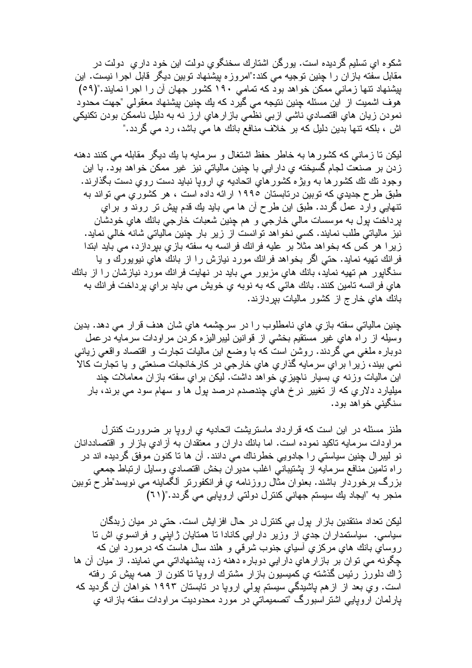شکو ه ای تسلیم گر دیده است. پور گن اشتار ك سخنگو ی دولت این خود دار ی ِ دولت در مقابل سفته بازان را چنین توجیه می کند:"امروزه بیشنهاد توبین دیگر قابل اجرا نیست. این بیشنهاد نتها زمانی ممکن خواهد بود که تمامی ۱۹۰ کشور جهان آن را اجرا نمایند."(0۹) هوف اشمیت از این مسئله چنین نتیجه می گیرد که یك چنین بیشنهاد معقولی "جهت محدود نمودن زيان هاي اقتصادي ناشي ازبي نظمي بازار هاي ارز نه به دليل ناممكن بودن نكنيكي اش ، بلکه نتها بدین دلیل که بر خلاف منافع بانك ها می باشد، رد می گردد."

لیکن نا زمانی که کشورها به خاطر حفظ اشتغال و سرمایه با یك دیگر مقابله می كنند دهنه زدن بر صنعت لجام گسیخته ی دار ایی با چنین مالیاتی نیز غیر ممکن خو اهد بود. با این وجود نك نك كشور ها به ويژه كشور هاي اتحاديه ي اروپا نبايد دست روي دست بگذارند. طبق طرح جدیدی که توبین در تابستان ۱۹۹۰ ارائه داده است ، هر کشوریِ می تواند به ننھایی وارد عمل گردد. طبق این طرح أن ہا می باید بك قدم بیش نر روند و براي برداخت بول به موسسات مالي خارجي و هم جنين شعبات خارجي بانك هاي خودشان نیز مالیاتی طلب نمایند. کسی نخواهد توانست از زیر بار چنین مالیاتی شانه خالی نماید. زیرا هر کس که بخواهد مثلا بر علیه فرانك فرانسه به سفته بازی بیردازد، می باید ابتدا فرانك تهيه نمايد. حتى اگر بخواهد فرانك مورد نيازش را از بانك هاي نيويورك و يا سنگاپور هم تهیه نماید، بانك هایِ مزبور می باید در نهایت فرانك مورد نیازشان را از بانك هاي فرانسه تامين كنند. بانك هائي كه به نوبه ي خويش مي بايد براي پرداخت فرانك به بانك هاي خار ج از كشور ماليات ببړدازند.

چنین مالیاتی سفته بازیِ هایِ نامطلوب را در سرچشمه هایِ شان هدف قرار می دهد. بدین وسيله از راه هاي غير مستقيم بخشى از قوانين ليبراليزه كردن مراودات سرمايه درعمل دوبار ه ملغی می گردند. روشن است که با وضع این مالیات نجارت و اقتصاد واقعی زیانی نمي بيند، زيرا براي سرمايه گذاري هاي خارجي در كارخانجات صنعتي و يا تجارت كالا این مالیات وزنه ی بسیار ناچیزی خواهد داشت. لیکن برای سفته بازان معاملات چند ميليارد دلاري كه از تغيير نرخ هاي چندصدم درصد پول ها و سهام سود مي برند، بار سنگينے خواهد بود.

طنز مسئله در این است که قرارداد ماستریشت اتحادیه ی اروپا بر ضرورت کنترل مر اودات سرمایه ناکید نموده است. اما بانك دار ان و معتقدان به آز ادی باز ار و اقتصاددانان نو ليبر ال چنين سياستي را جادويي خطرناك مي دانند. آن ها تا كنون موفق گرديده اند در راه نامین منافع سرمایه از بِشتیبانی اغلب مدیران بخش اقتصادیِ وسایل ارتباط جمعی بزرگ برخوردار باشند. بعنوان مثال روزنامه ی فرانکفورنر آلگماینه می نویسد"طرح نوبین منجر به "ایجاد یك سیستم جهانی كنترل دولتی اروپایی می گردد."(٦١)

لیکن تعداد منتقدین باز ار پول بی کنترل در حال افز ایش است. حتی در میان زبدگان سیاسی. سیاستمدار ان جدی از وزیر دار ایی کانادا تا همتایان ژاپنی و فرانسوی اش تا روساي بانك هاي مركزي أسياي جنوب شرقي و هلند سال هاست كه درمورد اين كه چگونه می توان بر باز ارهای دار ایی دوباره دهنه زد، بیشنهاداتی می نمایند. از میان آن ها ژاك دلورز رئيس گذشته ي كميسيون بازار مشترك ارويا تا كنون از همه بيش تر رفته است. وی بعد از از هم پاشیدگی سیستم بولی اروپا در تابستان ۱۹۹۳ خواهان آن گردید که بارلمان اروپایی اشتر اسبورگ "تصمیماتی در مورد محدودیت مراودات سفته بازانه ی